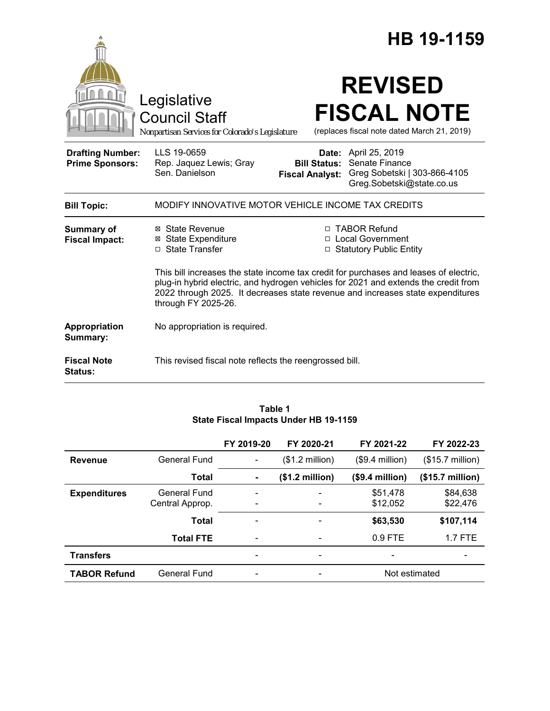|                                                   |                                                                                                                                                                                                                                                                                       |                                                        |                                                                   | HB 19-1159                                                        |  |
|---------------------------------------------------|---------------------------------------------------------------------------------------------------------------------------------------------------------------------------------------------------------------------------------------------------------------------------------------|--------------------------------------------------------|-------------------------------------------------------------------|-------------------------------------------------------------------|--|
|                                                   | Legislative<br><b>Council Staff</b><br>Nonpartisan Services for Colorado's Legislature                                                                                                                                                                                                |                                                        | <b>REVISED</b>                                                    | <b>FISCAL NOTE</b><br>(replaces fiscal note dated March 21, 2019) |  |
| <b>Drafting Number:</b><br><b>Prime Sponsors:</b> | LLS 19-0659<br>Rep. Jaquez Lewis; Gray<br>Sen. Danielson                                                                                                                                                                                                                              | Date:<br><b>Bill Status:</b><br><b>Fiscal Analyst:</b> | April 25, 2019<br>Senate Finance<br>Greg.Sobetski@state.co.us     | Greg Sobetski   303-866-4105                                      |  |
| <b>Bill Topic:</b>                                | MODIFY INNOVATIVE MOTOR VEHICLE INCOME TAX CREDITS                                                                                                                                                                                                                                    |                                                        |                                                                   |                                                                   |  |
| Summary of<br><b>Fiscal Impact:</b>               | ⊠ State Revenue<br><b>⊠ State Expenditure</b><br>□ State Transfer                                                                                                                                                                                                                     |                                                        | □ TABOR Refund<br>□ Local Government<br>□ Statutory Public Entity |                                                                   |  |
|                                                   | This bill increases the state income tax credit for purchases and leases of electric,<br>plug-in hybrid electric, and hydrogen vehicles for 2021 and extends the credit from<br>2022 through 2025. It decreases state revenue and increases state expenditures<br>through FY 2025-26. |                                                        |                                                                   |                                                                   |  |
| Appropriation<br>Summary:                         | No appropriation is required.                                                                                                                                                                                                                                                         |                                                        |                                                                   |                                                                   |  |
| <b>Fiscal Note</b><br>Status:                     | This revised fiscal note reflects the reengrossed bill.                                                                                                                                                                                                                               |                                                        |                                                                   |                                                                   |  |

### **Table 1 State Fiscal Impacts Under HB 19-1159**

|                     |                     | FY 2019-20               | FY 2020-21                   | FY 2021-22               | FY 2022-23                |  |
|---------------------|---------------------|--------------------------|------------------------------|--------------------------|---------------------------|--|
| <b>Revenue</b>      | <b>General Fund</b> | -                        | $($1.2 \text{ million})$     | $($9.4$ million)         | $($15.7 \text{ million})$ |  |
|                     | Total               | ٠                        | (\$1.2 million)              | (\$9.4 million)          | $($15.7 \text{ million})$ |  |
| <b>Expenditures</b> | General Fund        |                          | $\qquad \qquad \blacksquare$ | \$51,478                 | \$84,638                  |  |
|                     | Central Approp.     |                          | $\overline{\phantom{a}}$     | \$12,052                 | \$22,476                  |  |
|                     | Total               | $\overline{\phantom{a}}$ | $\overline{\phantom{a}}$     | \$63,530                 | \$107,114                 |  |
|                     | <b>Total FTE</b>    | $\overline{\phantom{a}}$ | $\overline{\phantom{a}}$     | $0.9$ FTE                | $1.7$ FTE                 |  |
| <b>Transfers</b>    |                     | $\overline{\phantom{0}}$ | $\overline{\phantom{a}}$     | $\overline{\phantom{a}}$ |                           |  |
| <b>TABOR Refund</b> | General Fund        | -                        | -                            | Not estimated            |                           |  |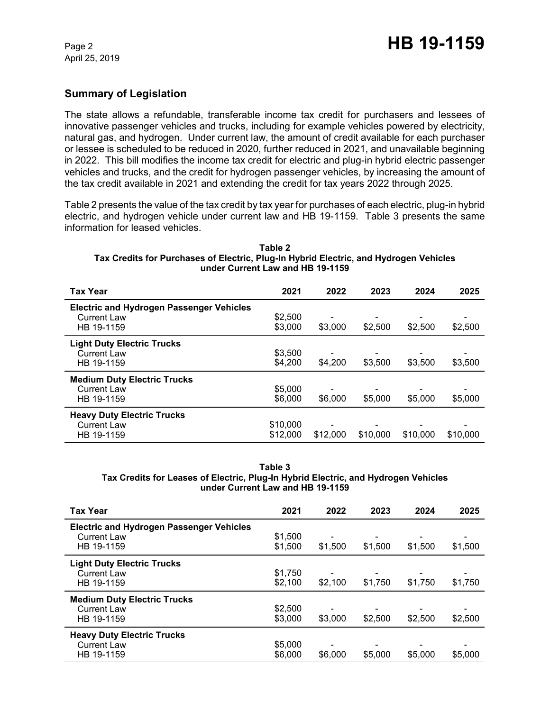## **Summary of Legislation**

The state allows a refundable, transferable income tax credit for purchasers and lessees of innovative passenger vehicles and trucks, including for example vehicles powered by electricity, natural gas, and hydrogen. Under current law, the amount of credit available for each purchaser or lessee is scheduled to be reduced in 2020, further reduced in 2021, and unavailable beginning in 2022. This bill modifies the income tax credit for electric and plug-in hybrid electric passenger vehicles and trucks, and the credit for hydrogen passenger vehicles, by increasing the amount of the tax credit available in 2021 and extending the credit for tax years 2022 through 2025.

Table 2 presents the value of the tax credit by tax year for purchases of each electric, plug-in hybrid electric, and hydrogen vehicle under current law and HB 19-1159. Table 3 presents the same information for leased vehicles.

#### **Table 2 Tax Credits for Purchases of Electric, Plug-In Hybrid Electric, and Hydrogen Vehicles under Current Law and HB 19-1159**

| <b>Tax Year</b>                                                              | 2021                 | 2022     | 2023     | 2024     | 2025     |
|------------------------------------------------------------------------------|----------------------|----------|----------|----------|----------|
| <b>Electric and Hydrogen Passenger Vehicles</b><br>Current Law<br>HB 19-1159 | \$2,500<br>\$3,000   | \$3,000  | \$2,500  | \$2,500  | \$2,500  |
| <b>Light Duty Electric Trucks</b><br><b>Current Law</b><br>HB 19-1159        | \$3,500<br>\$4,200   | \$4,200  | \$3,500  | \$3,500  | \$3,500  |
| <b>Medium Duty Electric Trucks</b><br><b>Current Law</b><br>HB 19-1159       | \$5,000<br>\$6,000   | \$6,000  | \$5,000  | \$5,000  | \$5,000  |
| <b>Heavy Duty Electric Trucks</b><br><b>Current Law</b><br>HB 19-1159        | \$10,000<br>\$12,000 | \$12,000 | \$10,000 | \$10,000 | \$10,000 |

#### **Table 3 Tax Credits for Leases of Electric, Plug-In Hybrid Electric, and Hydrogen Vehicles under Current Law and HB 19-1159**

| <b>Tax Year</b>                                                              | 2021               | 2022                                | 2023    | 2024    | 2025    |
|------------------------------------------------------------------------------|--------------------|-------------------------------------|---------|---------|---------|
| <b>Electric and Hydrogen Passenger Vehicles</b><br>Current Law<br>HB 19-1159 | \$1,500<br>\$1,500 | \$1,500                             | \$1,500 | \$1,500 | \$1,500 |
| <b>Light Duty Electric Trucks</b><br><b>Current Law</b><br>HB 19-1159        | \$1,750<br>\$2,100 | \$2,100                             | \$1,750 | \$1,750 | \$1,750 |
| <b>Medium Duty Electric Trucks</b><br><b>Current Law</b><br>HB 19-1159       | \$2,500<br>\$3,000 | $\overline{\phantom{a}}$<br>\$3,000 | \$2,500 | \$2,500 | \$2,500 |
| <b>Heavy Duty Electric Trucks</b><br><b>Current Law</b><br>HB 19-1159        | \$5,000<br>\$6,000 | \$6,000                             | \$5,000 | \$5,000 | \$5,000 |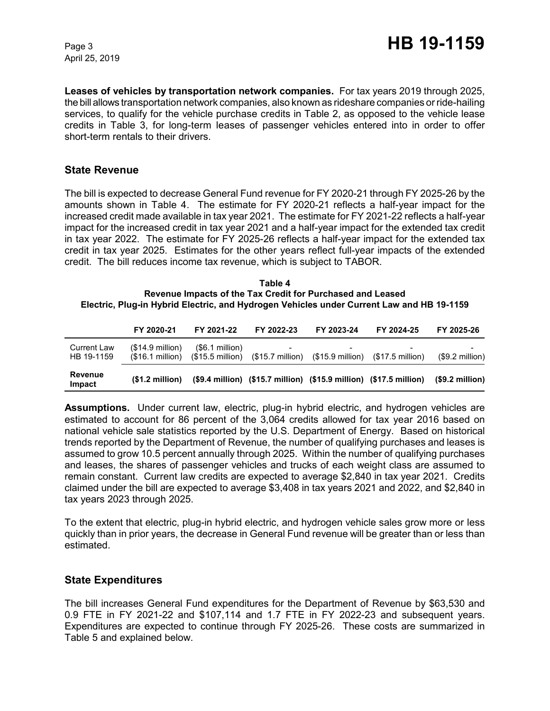April 25, 2019

**Leases of vehicles by transportation network companies.** For tax years 2019 through 2025, the bill allows transportation network companies, also known as rideshare companies or ride-hailing services, to qualify for the vehicle purchase credits in Table 2, as opposed to the vehicle lease credits in Table 3, for long-term leases of passenger vehicles entered into in order to offer short-term rentals to their drivers.

## **State Revenue**

The bill is expected to decrease General Fund revenue for FY 2020-21 through FY 2025-26 by the amounts shown in Table 4. The estimate for FY 2020-21 reflects a half-year impact for the increased credit made available in tax year 2021. The estimate for FY 2021-22 reflects a half-year impact for the increased credit in tax year 2021 and a half-year impact for the extended tax credit in tax year 2022. The estimate for FY 2025-26 reflects a half-year impact for the extended tax credit in tax year 2025. Estimates for the other years reflect full-year impacts of the extended credit. The bill reduces income tax revenue, which is subject to TABOR.

#### **Table 4 Revenue Impacts of the Tax Credit for Purchased and Leased Electric, Plug-in Hybrid Electric, and Hydrogen Vehicles under Current Law and HB 19-1159**

|                                  | FY 2020-21                             | FY 2021-22                                            | FY 2022-23 | FY 2023-24                                                                    | FY 2024-25                                                         | FY 2025-26       |
|----------------------------------|----------------------------------------|-------------------------------------------------------|------------|-------------------------------------------------------------------------------|--------------------------------------------------------------------|------------------|
| <b>Current Law</b><br>HB 19-1159 | $($14.9$ million)<br>$(S16.1$ million) | $(S6.1 \text{ million})$<br>$(S15.5 \text{ million})$ |            | $($15.7 \text{ million})$ $($15.9 \text{ million})$ $($17.5 \text{ million})$ |                                                                    | $($9.2$ million) |
| Revenue<br>Impact                | $(S1.2 \text{ million})$               |                                                       |            |                                                                               | (\$9.4 million) (\$15.7 million) (\$15.9 million) (\$17.5 million) | (\$9.2 million)  |

**Assumptions.** Under current law, electric, plug-in hybrid electric, and hydrogen vehicles are estimated to account for 86 percent of the 3,064 credits allowed for tax year 2016 based on national vehicle sale statistics reported by the U.S. Department of Energy. Based on historical trends reported by the Department of Revenue, the number of qualifying purchases and leases is assumed to grow 10.5 percent annually through 2025. Within the number of qualifying purchases and leases, the shares of passenger vehicles and trucks of each weight class are assumed to remain constant. Current law credits are expected to average \$2,840 in tax year 2021. Credits claimed under the bill are expected to average \$3,408 in tax years 2021 and 2022, and \$2,840 in tax years 2023 through 2025.

To the extent that electric, plug-in hybrid electric, and hydrogen vehicle sales grow more or less quickly than in prior years, the decrease in General Fund revenue will be greater than or less than estimated.

## **State Expenditures**

The bill increases General Fund expenditures for the Department of Revenue by \$63,530 and 0.9 FTE in FY 2021-22 and \$107,114 and 1.7 FTE in FY 2022-23 and subsequent years. Expenditures are expected to continue through FY 2025-26. These costs are summarized in Table 5 and explained below.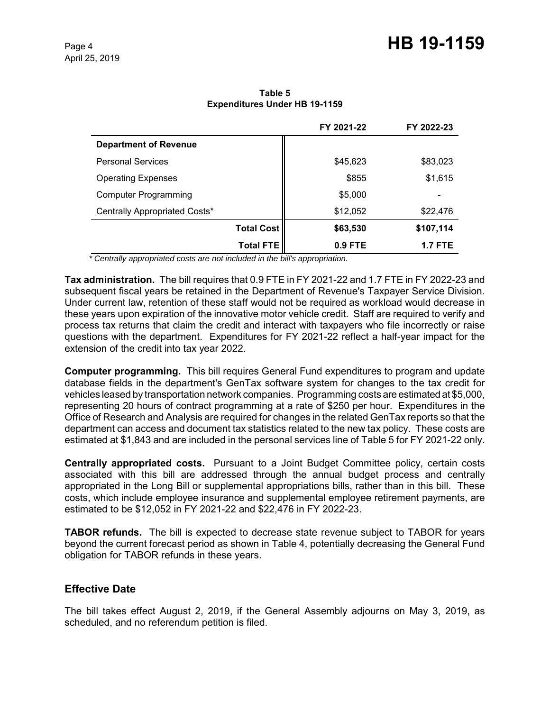|                               |                   | FY 2021-22 | FY 2022-23     |
|-------------------------------|-------------------|------------|----------------|
| <b>Department of Revenue</b>  |                   |            |                |
| <b>Personal Services</b>      |                   | \$45,623   | \$83,023       |
| <b>Operating Expenses</b>     |                   | \$855      | \$1,615        |
| Computer Programming          |                   | \$5,000    |                |
| Centrally Appropriated Costs* |                   | \$12,052   | \$22,476       |
|                               | <b>Total Cost</b> | \$63,530   | \$107,114      |
|                               | <b>Total FTE</b>  | 0.9 FTE    | <b>1.7 FTE</b> |

**Table 5 Expenditures Under HB 19-1159**

 *\* Centrally appropriated costs are not included in the bill's appropriation.*

**Tax administration.** The bill requires that 0.9 FTE in FY 2021-22 and 1.7 FTE in FY 2022-23 and subsequent fiscal years be retained in the Department of Revenue's Taxpayer Service Division. Under current law, retention of these staff would not be required as workload would decrease in these years upon expiration of the innovative motor vehicle credit. Staff are required to verify and process tax returns that claim the credit and interact with taxpayers who file incorrectly or raise questions with the department. Expenditures for FY 2021-22 reflect a half-year impact for the extension of the credit into tax year 2022.

**Computer programming.** This bill requires General Fund expenditures to program and update database fields in the department's GenTax software system for changes to the tax credit for vehicles leased by transportation network companies. Programming costs are estimated at \$5,000, representing 20 hours of contract programming at a rate of \$250 per hour. Expenditures in the Office of Research and Analysis are required for changes in the related GenTax reports so that the department can access and document tax statistics related to the new tax policy. These costs are estimated at \$1,843 and are included in the personal services line of Table 5 for FY 2021-22 only.

**Centrally appropriated costs.** Pursuant to a Joint Budget Committee policy, certain costs associated with this bill are addressed through the annual budget process and centrally appropriated in the Long Bill or supplemental appropriations bills, rather than in this bill. These costs, which include employee insurance and supplemental employee retirement payments, are estimated to be \$12,052 in FY 2021-22 and \$22,476 in FY 2022-23.

**TABOR refunds.** The bill is expected to decrease state revenue subject to TABOR for years beyond the current forecast period as shown in Table 4, potentially decreasing the General Fund obligation for TABOR refunds in these years.

# **Effective Date**

The bill takes effect August 2, 2019, if the General Assembly adjourns on May 3, 2019, as scheduled, and no referendum petition is filed.